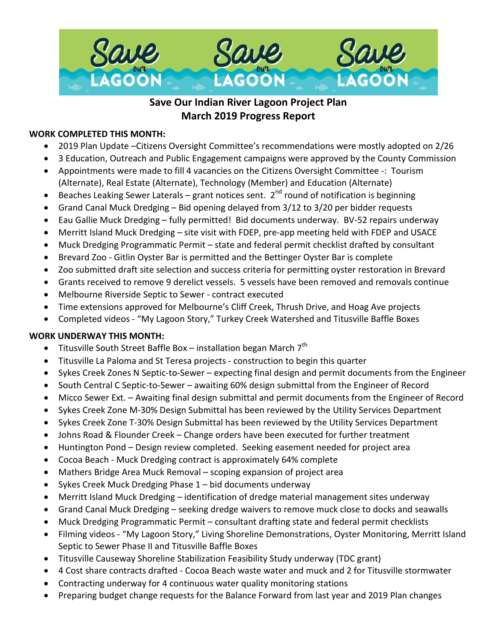

# **Save Our Indian River Lagoon Project Plan March 2019 Progress Report**

## **WORK COMPLETED THIS MONTH:**

- 2019 Plan Update –Citizens Oversight Committee's recommendations were mostly adopted on 2/26
- 3 Education, Outreach and Public Engagement campaigns were approved by the County Commission
- Appointments were made to fill 4 vacancies on the Citizens Oversight Committee -: Tourism (Alternate), Real Estate (Alternate), Technology (Member) and Education (Alternate)
- Beaches Leaking Sewer Laterals grant notices sent.  $2^{nd}$  round of notification is beginning
- Grand Canal Muck Dredging Bid opening delayed from 3/12 to 3/20 per bidder requests
- Eau Gallie Muck Dredging fully permitted! Bid documents underway. BV-52 repairs underway
- Merritt Island Muck Dredging site visit with FDEP, pre-app meeting held with FDEP and USACE
- Muck Dredging Programmatic Permit state and federal permit checklist drafted by consultant
- Brevard Zoo Gitlin Oyster Bar is permitted and the Bettinger Oyster Bar is complete
- Zoo submitted draft site selection and success criteria for permitting oyster restoration in Brevard
- Grants received to remove 9 derelict vessels. 5 vessels have been removed and removals continue
- Melbourne Riverside Septic to Sewer contract executed
- Time extensions approved for Melbourne's Cliff Creek, Thrush Drive, and Hoag Ave projects
- Completed videos "My Lagoon Story," Turkey Creek Watershed and Titusville Baffle Boxes

#### **WORK UNDERWAY THIS MONTH:**

- Titusville South Street Baffle Box installation began March  $7<sup>th</sup>$
- Titusville La Paloma and St Teresa projects construction to begin this quarter
- Sykes Creek Zones N Septic-to-Sewer expecting final design and permit documents from the Engineer
- South Central C Septic-to-Sewer awaiting 60% design submittal from the Engineer of Record
- Micco Sewer Ext. Awaiting final design submittal and permit documents from the Engineer of Record
- Sykes Creek Zone M-30% Design Submittal has been reviewed by the Utility Services Department
- Sykes Creek Zone T-30% Design Submittal has been reviewed by the Utility Services Department
- Johns Road & Flounder Creek Change orders have been executed for further treatment
- Huntington Pond Design review completed. Seeking easement needed for project area
- Cocoa Beach Muck Dredging contract is approximately 64% complete
- Mathers Bridge Area Muck Removal scoping expansion of project area
- Sykes Creek Muck Dredging Phase 1 bid documents underway
- Merritt Island Muck Dredging identification of dredge material management sites underway
- Grand Canal Muck Dredging seeking dredge waivers to remove muck close to docks and seawalls
- Muck Dredging Programmatic Permit consultant drafting state and federal permit checklists
- Filming videos "My Lagoon Story," Living Shoreline Demonstrations, Oyster Monitoring, Merritt Island Septic to Sewer Phase II and Titusville Baffle Boxes
- Titusville Causeway Shoreline Stabilization Feasibility Study underway (TDC grant)
- 4 Cost share contracts drafted Cocoa Beach waste water and muck and 2 for Titusville stormwater
- Contracting underway for 4 continuous water quality monitoring stations
- Preparing budget change requests for the Balance Forward from last year and 2019 Plan changes